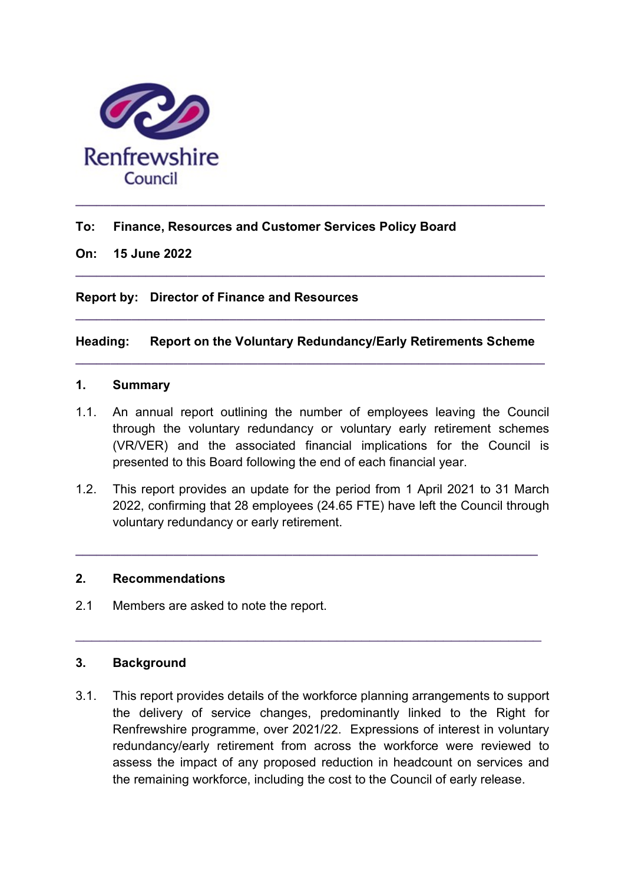

# To: Finance, Resources and Customer Services Policy Board

#### On: 15 June 2022

# Report by: Director of Finance and Resources

# Heading: Report on the Voluntary Redundancy/Early Retirements Scheme

 $\_$  , and the set of the set of the set of the set of the set of the set of the set of the set of the set of the set of the set of the set of the set of the set of the set of the set of the set of the set of the set of th

 $\_$  ,  $\_$  ,  $\_$  ,  $\_$  ,  $\_$  ,  $\_$  ,  $\_$  ,  $\_$  ,  $\_$  ,  $\_$  ,  $\_$  ,  $\_$  ,  $\_$  ,  $\_$  ,  $\_$  ,  $\_$  ,  $\_$  ,  $\_$  ,  $\_$ 

 $\_$  ,  $\_$  ,  $\_$  ,  $\_$  ,  $\_$  ,  $\_$  ,  $\_$  ,  $\_$  ,  $\_$  ,  $\_$  ,  $\_$  ,  $\_$  ,  $\_$  ,  $\_$  ,  $\_$  ,  $\_$  ,  $\_$  ,  $\_$  ,  $\_$ 

### 1. Summary

- 1.1. An annual report outlining the number of employees leaving the Council through the voluntary redundancy or voluntary early retirement schemes (VR/VER) and the associated financial implications for the Council is presented to this Board following the end of each financial year.
- 1.2. This report provides an update for the period from 1 April 2021 to 31 March 2022, confirming that 28 employees (24.65 FTE) have left the Council through voluntary redundancy or early retirement.

 $\_$  ,  $\_$  ,  $\_$  ,  $\_$  ,  $\_$  ,  $\_$  ,  $\_$  ,  $\_$  ,  $\_$  ,  $\_$  ,  $\_$  ,  $\_$  ,  $\_$  ,  $\_$  ,  $\_$  ,  $\_$  ,  $\_$  ,  $\_$  ,  $\_$ 

 $\_$  , and the set of the set of the set of the set of the set of the set of the set of the set of the set of the set of the set of the set of the set of the set of the set of the set of the set of the set of the set of th

#### 2. Recommendations

2.1 Members are asked to note the report.

# 3. Background

3.1. This report provides details of the workforce planning arrangements to support the delivery of service changes, predominantly linked to the Right for Renfrewshire programme, over 2021/22. Expressions of interest in voluntary redundancy/early retirement from across the workforce were reviewed to assess the impact of any proposed reduction in headcount on services and the remaining workforce, including the cost to the Council of early release.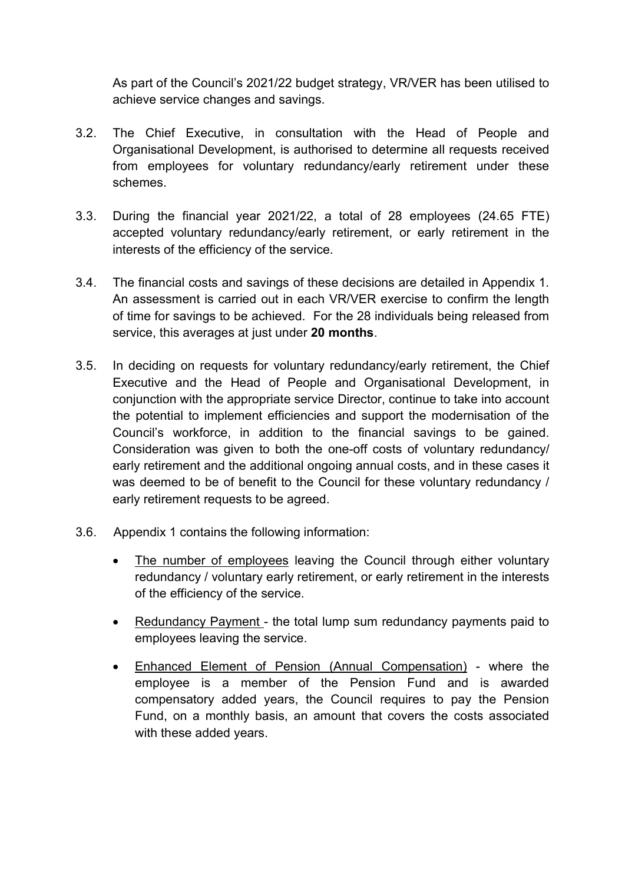As part of the Council's 2021/22 budget strategy, VR/VER has been utilised to achieve service changes and savings.

- 3.2. The Chief Executive, in consultation with the Head of People and Organisational Development, is authorised to determine all requests received from employees for voluntary redundancy/early retirement under these schemes.
- 3.3. During the financial year 2021/22, a total of 28 employees (24.65 FTE) accepted voluntary redundancy/early retirement, or early retirement in the interests of the efficiency of the service.
- 3.4. The financial costs and savings of these decisions are detailed in Appendix 1. An assessment is carried out in each VR/VER exercise to confirm the length of time for savings to be achieved. For the 28 individuals being released from service, this averages at just under 20 months.
- 3.5. In deciding on requests for voluntary redundancy/early retirement, the Chief Executive and the Head of People and Organisational Development, in conjunction with the appropriate service Director, continue to take into account the potential to implement efficiencies and support the modernisation of the Council's workforce, in addition to the financial savings to be gained. Consideration was given to both the one-off costs of voluntary redundancy/ early retirement and the additional ongoing annual costs, and in these cases it was deemed to be of benefit to the Council for these voluntary redundancy / early retirement requests to be agreed.
- 3.6. Appendix 1 contains the following information:
	- The number of employees leaving the Council through either voluntary redundancy / voluntary early retirement, or early retirement in the interests of the efficiency of the service.
	- Redundancy Payment the total lump sum redundancy payments paid to employees leaving the service.
	- Enhanced Element of Pension (Annual Compensation) where the employee is a member of the Pension Fund and is awarded compensatory added years, the Council requires to pay the Pension Fund, on a monthly basis, an amount that covers the costs associated with these added years.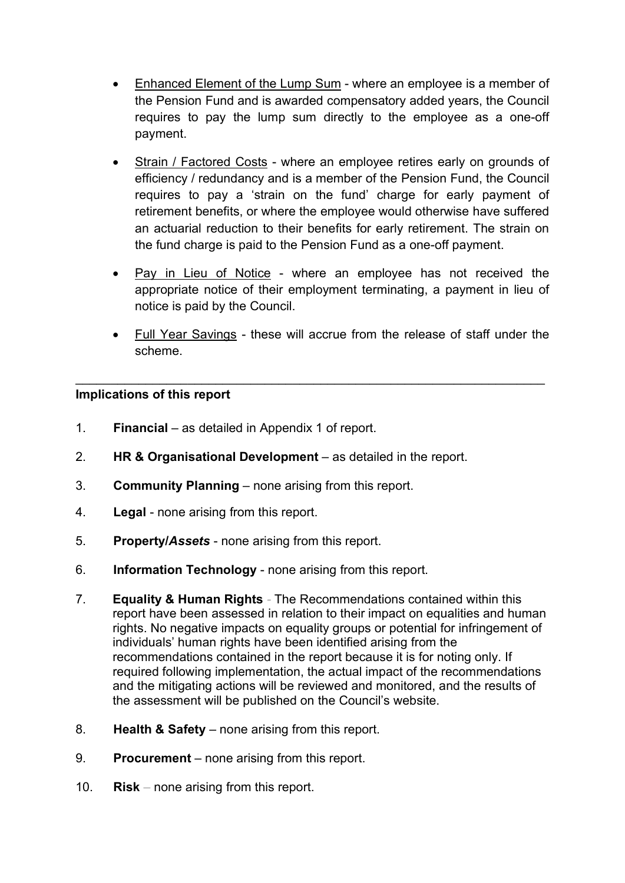- Enhanced Element of the Lump Sum where an employee is a member of the Pension Fund and is awarded compensatory added years, the Council requires to pay the lump sum directly to the employee as a one-off payment.
- Strain / Factored Costs where an employee retires early on grounds of efficiency / redundancy and is a member of the Pension Fund, the Council requires to pay a 'strain on the fund' charge for early payment of retirement benefits, or where the employee would otherwise have suffered an actuarial reduction to their benefits for early retirement. The strain on the fund charge is paid to the Pension Fund as a one-off payment.
- Pay in Lieu of Notice where an employee has not received the appropriate notice of their employment terminating, a payment in lieu of notice is paid by the Council.
- Full Year Savings these will accrue from the release of staff under the scheme.

 $\_$  , and the contribution of the contribution of  $\mathcal{L}_\mathcal{A}$  , and the contribution of  $\mathcal{L}_\mathcal{A}$ 

# Implications of this report

- 1. Financial as detailed in Appendix 1 of report.
- 2. HR & Organisational Development as detailed in the report.
- 3. Community Planning none arising from this report.
- 4. Legal none arising from this report.
- 5. Property/Assets none arising from this report.
- 6. Information Technology none arising from this report.
- 7. Equality & Human Rights The Recommendations contained within this report have been assessed in relation to their impact on equalities and human rights. No negative impacts on equality groups or potential for infringement of individuals' human rights have been identified arising from the recommendations contained in the report because it is for noting only. If required following implementation, the actual impact of the recommendations and the mitigating actions will be reviewed and monitored, and the results of the assessment will be published on the Council's website.
- 8. Health & Safety none arising from this report.
- 9. Procurement none arising from this report.
- 10. Risk none arising from this report.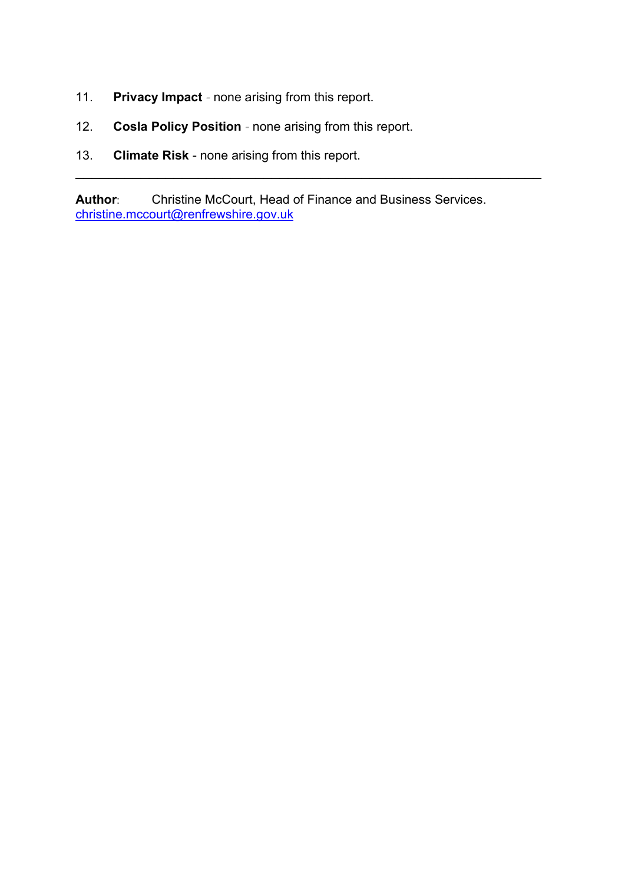- 11. Privacy Impact none arising from this report.
- 12. Cosla Policy Position none arising from this report.
- 13. **Climate Risk none arising from this report.**

Author: Christine McCourt, Head of Finance and Business Services. christine.mccourt@renfrewshire.gov.uk

 $\_$  , and the contribution of the contribution of  $\mathcal{L}_\mathcal{A}$  , and the contribution of  $\mathcal{L}_\mathcal{A}$